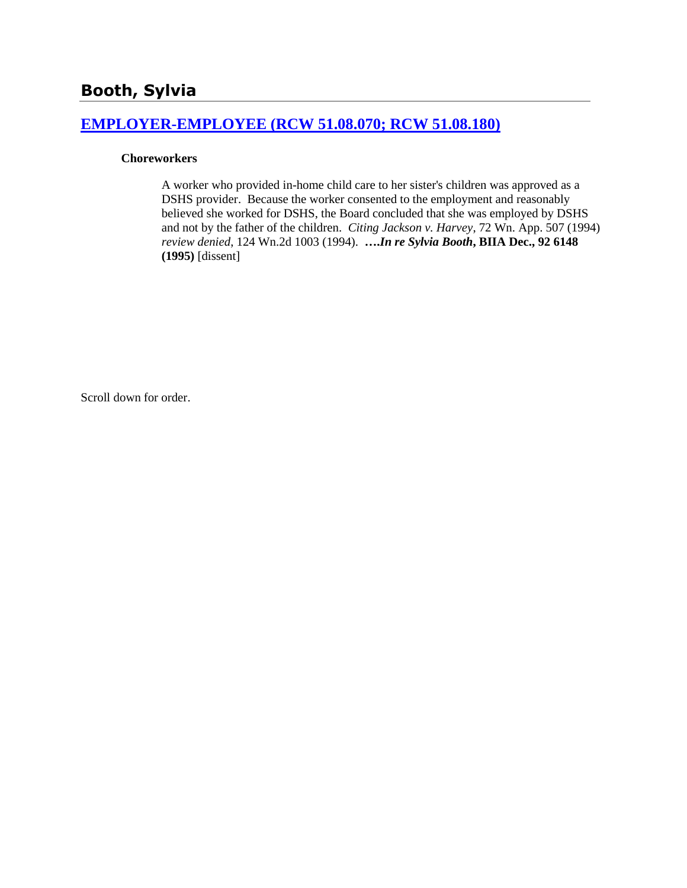# **[EMPLOYER-EMPLOYEE \(RCW 51.08.070; RCW 51.08.180\)](http://www.biia.wa.gov/SDSubjectIndex.html#EMPLOYER_EMPLOYEE)**

#### **Choreworkers**

A worker who provided in-home child care to her sister's children was approved as a DSHS provider. Because the worker consented to the employment and reasonably believed she worked for DSHS, the Board concluded that she was employed by DSHS and not by the father of the children. *Citing Jackson v. Harvey*, 72 Wn. App. 507 (1994) *review denied*, 124 Wn.2d 1003 (1994). **….***In re Sylvia Booth***, BIIA Dec., 92 6148 (1995)** [dissent]

Scroll down for order.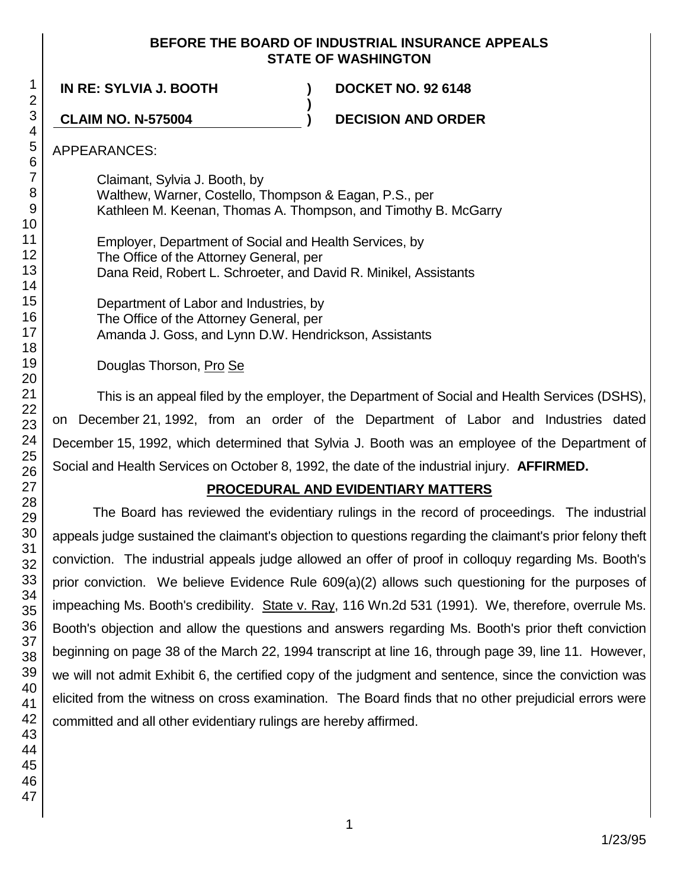## **BEFORE THE BOARD OF INDUSTRIAL INSURANCE APPEALS STATE OF WASHINGTON**

**IN RE: SYLVIA J. BOOTH ) DOCKET NO. 92 6148**

**CLAIM NO. N-575004 ) DECISION AND ORDER**

APPEARANCES:

Claimant, Sylvia J. Booth, by Walthew, Warner, Costello, Thompson & Eagan, P.S., per Kathleen M. Keenan, Thomas A. Thompson, and Timothy B. McGarry

**)**

Employer, Department of Social and Health Services, by The Office of the Attorney General, per Dana Reid, Robert L. Schroeter, and David R. Minikel, Assistants

Department of Labor and Industries, by The Office of the Attorney General, per Amanda J. Goss, and Lynn D.W. Hendrickson, Assistants

Douglas Thorson, Pro Se

This is an appeal filed by the employer, the Department of Social and Health Services (DSHS), on December 21, 1992, from an order of the Department of Labor and Industries dated December 15, 1992, which determined that Sylvia J. Booth was an employee of the Department of Social and Health Services on October 8, 1992, the date of the industrial injury. **AFFIRMED.**

# **PROCEDURAL AND EVIDENTIARY MATTERS**

The Board has reviewed the evidentiary rulings in the record of proceedings. The industrial appeals judge sustained the claimant's objection to questions regarding the claimant's prior felony theft conviction. The industrial appeals judge allowed an offer of proof in colloquy regarding Ms. Booth's prior conviction. We believe Evidence Rule 609(a)(2) allows such questioning for the purposes of impeaching Ms. Booth's credibility. State v. Ray, 116 Wn.2d 531 (1991). We, therefore, overrule Ms. Booth's objection and allow the questions and answers regarding Ms. Booth's prior theft conviction beginning on page 38 of the March 22, 1994 transcript at line 16, through page 39, line 11. However, we will not admit Exhibit 6, the certified copy of the judgment and sentence, since the conviction was elicited from the witness on cross examination. The Board finds that no other prejudicial errors were committed and all other evidentiary rulings are hereby affirmed.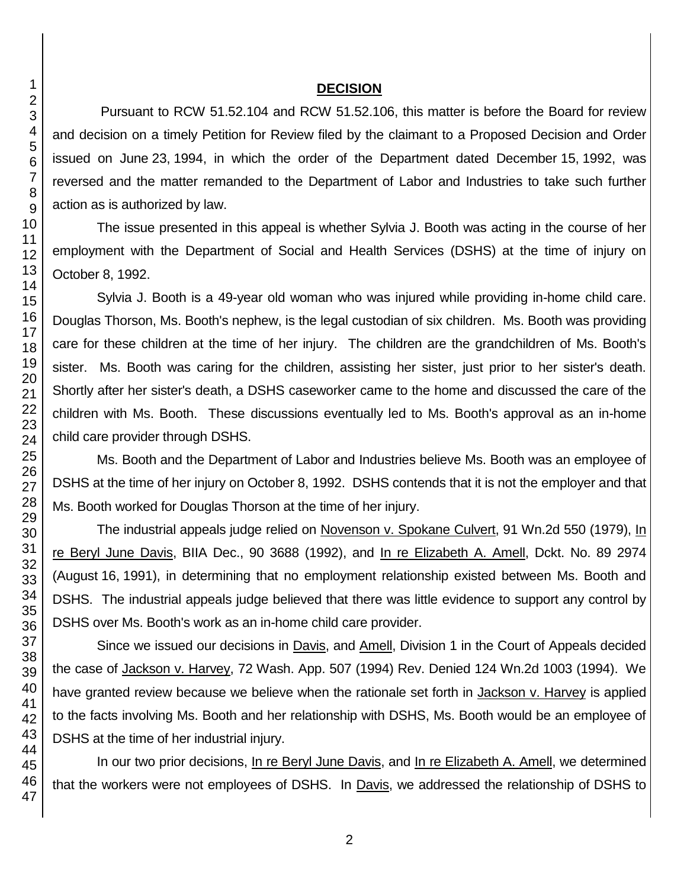### **DECISION**

Pursuant to RCW 51.52.104 and RCW 51.52.106, this matter is before the Board for review and decision on a timely Petition for Review filed by the claimant to a Proposed Decision and Order issued on June 23, 1994, in which the order of the Department dated December 15, 1992, was reversed and the matter remanded to the Department of Labor and Industries to take such further action as is authorized by law.

The issue presented in this appeal is whether Sylvia J. Booth was acting in the course of her employment with the Department of Social and Health Services (DSHS) at the time of injury on October 8, 1992.

Sylvia J. Booth is a 49-year old woman who was injured while providing in-home child care. Douglas Thorson, Ms. Booth's nephew, is the legal custodian of six children. Ms. Booth was providing care for these children at the time of her injury. The children are the grandchildren of Ms. Booth's sister. Ms. Booth was caring for the children, assisting her sister, just prior to her sister's death. Shortly after her sister's death, a DSHS caseworker came to the home and discussed the care of the children with Ms. Booth. These discussions eventually led to Ms. Booth's approval as an in-home child care provider through DSHS.

Ms. Booth and the Department of Labor and Industries believe Ms. Booth was an employee of DSHS at the time of her injury on October 8, 1992. DSHS contends that it is not the employer and that Ms. Booth worked for Douglas Thorson at the time of her injury.

The industrial appeals judge relied on Novenson v. Spokane Culvert, 91 Wn.2d 550 (1979), In re Beryl June Davis, BIIA Dec., 90 3688 (1992), and In re Elizabeth A. Amell, Dckt. No. 89 2974 (August 16, 1991), in determining that no employment relationship existed between Ms. Booth and DSHS. The industrial appeals judge believed that there was little evidence to support any control by DSHS over Ms. Booth's work as an in-home child care provider.

Since we issued our decisions in Davis, and Amell, Division 1 in the Court of Appeals decided the case of Jackson v. Harvey, 72 Wash. App. 507 (1994) Rev. Denied 124 Wn.2d 1003 (1994). We have granted review because we believe when the rationale set forth in Jackson v. Harvey is applied to the facts involving Ms. Booth and her relationship with DSHS, Ms. Booth would be an employee of DSHS at the time of her industrial injury.

In our two prior decisions, In re Beryl June Davis, and In re Elizabeth A. Amell, we determined that the workers were not employees of DSHS. In Davis, we addressed the relationship of DSHS to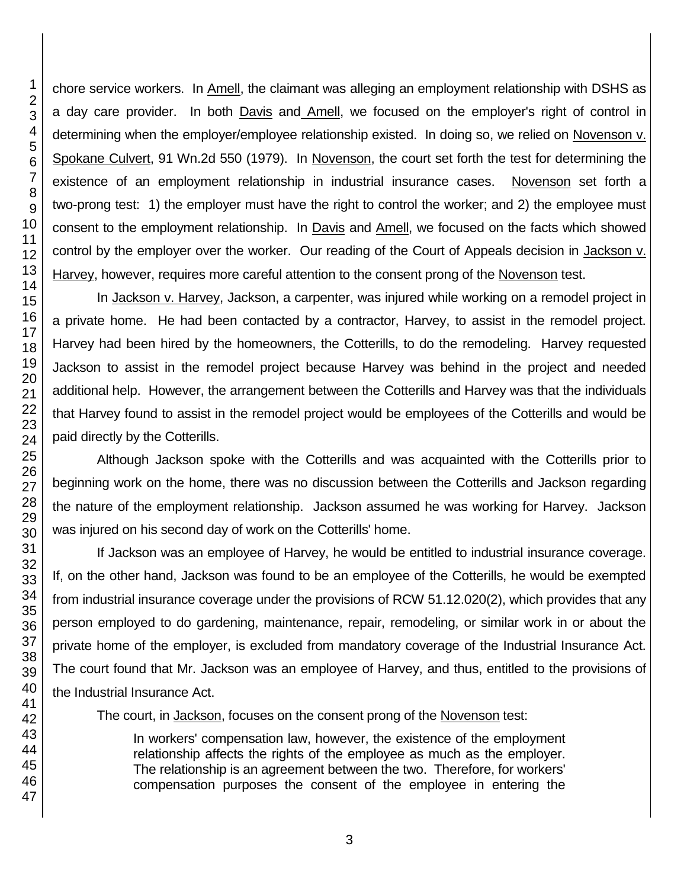chore service workers. In Amell, the claimant was alleging an employment relationship with DSHS as a day care provider. In both Davis and Amell, we focused on the employer's right of control in determining when the employer/employee relationship existed. In doing so, we relied on Novenson v. Spokane Culvert, 91 Wn.2d 550 (1979). In Novenson, the court set forth the test for determining the existence of an employment relationship in industrial insurance cases. Novenson set forth a two-prong test: 1) the employer must have the right to control the worker; and 2) the employee must consent to the employment relationship. In Davis and Amell, we focused on the facts which showed control by the employer over the worker. Our reading of the Court of Appeals decision in Jackson v. Harvey, however, requires more careful attention to the consent prong of the Novenson test.

In Jackson v. Harvey, Jackson, a carpenter, was injured while working on a remodel project in a private home. He had been contacted by a contractor, Harvey, to assist in the remodel project. Harvey had been hired by the homeowners, the Cotterills, to do the remodeling. Harvey requested Jackson to assist in the remodel project because Harvey was behind in the project and needed additional help. However, the arrangement between the Cotterills and Harvey was that the individuals that Harvey found to assist in the remodel project would be employees of the Cotterills and would be paid directly by the Cotterills.

Although Jackson spoke with the Cotterills and was acquainted with the Cotterills prior to beginning work on the home, there was no discussion between the Cotterills and Jackson regarding the nature of the employment relationship. Jackson assumed he was working for Harvey. Jackson was injured on his second day of work on the Cotterills' home.

If Jackson was an employee of Harvey, he would be entitled to industrial insurance coverage. If, on the other hand, Jackson was found to be an employee of the Cotterills, he would be exempted from industrial insurance coverage under the provisions of RCW 51.12.020(2), which provides that any person employed to do gardening, maintenance, repair, remodeling, or similar work in or about the private home of the employer, is excluded from mandatory coverage of the Industrial Insurance Act. The court found that Mr. Jackson was an employee of Harvey, and thus, entitled to the provisions of the Industrial Insurance Act.

The court, in Jackson, focuses on the consent prong of the Novenson test:

In workers' compensation law, however, the existence of the employment relationship affects the rights of the employee as much as the employer. The relationship is an agreement between the two. Therefore, for workers' compensation purposes the consent of the employee in entering the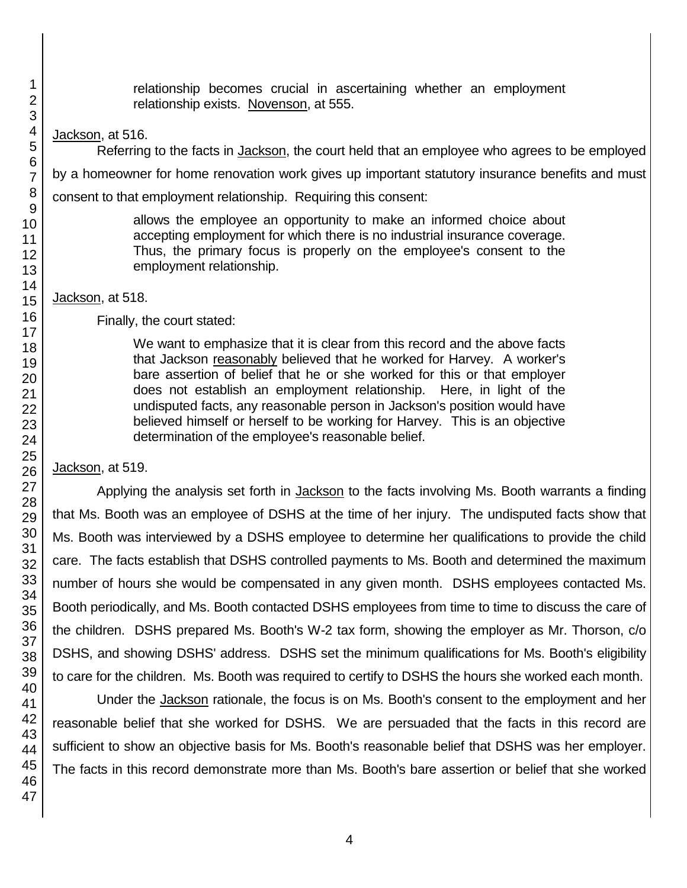relationship becomes crucial in ascertaining whether an employment relationship exists. Novenson, at 555.

Jackson, at 516.

Referring to the facts in Jackson, the court held that an employee who agrees to be employed by a homeowner for home renovation work gives up important statutory insurance benefits and must consent to that employment relationship. Requiring this consent:

> allows the employee an opportunity to make an informed choice about accepting employment for which there is no industrial insurance coverage. Thus, the primary focus is properly on the employee's consent to the employment relationship.

Jackson, at 518.

Finally, the court stated:

We want to emphasize that it is clear from this record and the above facts that Jackson reasonably believed that he worked for Harvey. A worker's bare assertion of belief that he or she worked for this or that employer does not establish an employment relationship. Here, in light of the undisputed facts, any reasonable person in Jackson's position would have believed himself or herself to be working for Harvey. This is an objective determination of the employee's reasonable belief.

Jackson, at 519.

Applying the analysis set forth in Jackson to the facts involving Ms. Booth warrants a finding that Ms. Booth was an employee of DSHS at the time of her injury. The undisputed facts show that Ms. Booth was interviewed by a DSHS employee to determine her qualifications to provide the child care. The facts establish that DSHS controlled payments to Ms. Booth and determined the maximum number of hours she would be compensated in any given month. DSHS employees contacted Ms. Booth periodically, and Ms. Booth contacted DSHS employees from time to time to discuss the care of the children. DSHS prepared Ms. Booth's W-2 tax form, showing the employer as Mr. Thorson, c/o DSHS, and showing DSHS' address. DSHS set the minimum qualifications for Ms. Booth's eligibility to care for the children. Ms. Booth was required to certify to DSHS the hours she worked each month.

Under the Jackson rationale, the focus is on Ms. Booth's consent to the employment and her reasonable belief that she worked for DSHS. We are persuaded that the facts in this record are sufficient to show an objective basis for Ms. Booth's reasonable belief that DSHS was her employer. The facts in this record demonstrate more than Ms. Booth's bare assertion or belief that she worked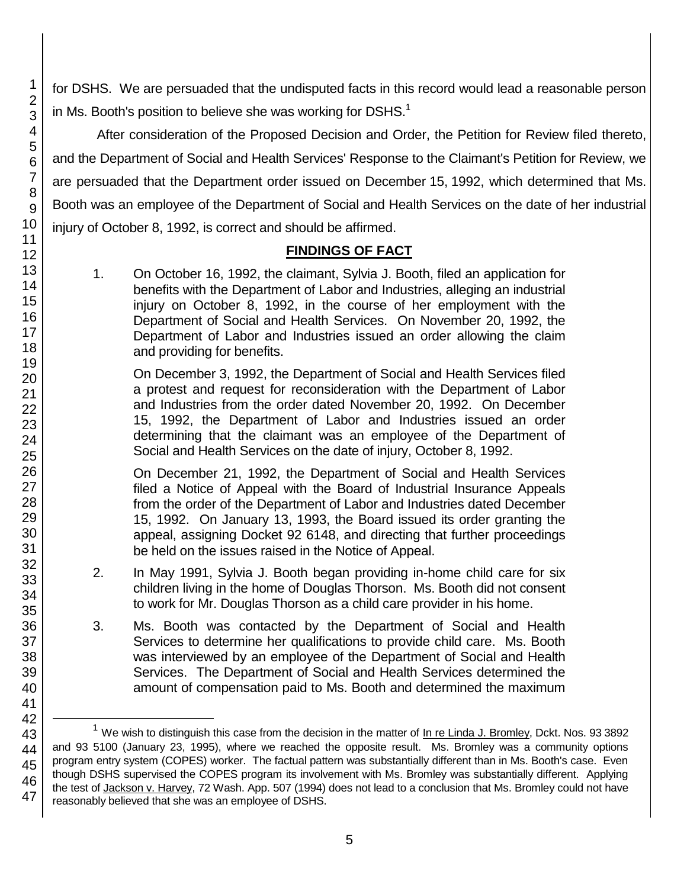for DSHS. We are persuaded that the undisputed facts in this record would lead a reasonable person in Ms. Booth's position to believe she was working for DSHS. $^1$ 

After consideration of the Proposed Decision and Order, the Petition for Review filed thereto, and the Department of Social and Health Services' Response to the Claimant's Petition for Review, we are persuaded that the Department order issued on December 15, 1992, which determined that Ms. Booth was an employee of the Department of Social and Health Services on the date of her industrial injury of October 8, 1992, is correct and should be affirmed.

# **FINDINGS OF FACT**

1. On October 16, 1992, the claimant, Sylvia J. Booth, filed an application for benefits with the Department of Labor and Industries, alleging an industrial injury on October 8, 1992, in the course of her employment with the Department of Social and Health Services. On November 20, 1992, the Department of Labor and Industries issued an order allowing the claim and providing for benefits.

On December 3, 1992, the Department of Social and Health Services filed a protest and request for reconsideration with the Department of Labor and Industries from the order dated November 20, 1992. On December 15, 1992, the Department of Labor and Industries issued an order determining that the claimant was an employee of the Department of Social and Health Services on the date of injury, October 8, 1992.

On December 21, 1992, the Department of Social and Health Services filed a Notice of Appeal with the Board of Industrial Insurance Appeals from the order of the Department of Labor and Industries dated December 15, 1992. On January 13, 1993, the Board issued its order granting the appeal, assigning Docket 92 6148, and directing that further proceedings be held on the issues raised in the Notice of Appeal.

- 2. In May 1991, Sylvia J. Booth began providing in-home child care for six children living in the home of Douglas Thorson. Ms. Booth did not consent to work for Mr. Douglas Thorson as a child care provider in his home.
- 3. Ms. Booth was contacted by the Department of Social and Health Services to determine her qualifications to provide child care. Ms. Booth was interviewed by an employee of the Department of Social and Health Services. The Department of Social and Health Services determined the amount of compensation paid to Ms. Booth and determined the maximum

l

<sup>&</sup>lt;sup>1</sup> We wish to distinguish this case from the decision in the matter of In re Linda J. Bromley, Dckt. Nos. 93 3892 and 93 5100 (January 23, 1995), where we reached the opposite result. Ms. Bromley was a community options program entry system (COPES) worker. The factual pattern was substantially different than in Ms. Booth's case. Even though DSHS supervised the COPES program its involvement with Ms. Bromley was substantially different. Applying the test of Jackson v. Harvey, 72 Wash. App. 507 (1994) does not lead to a conclusion that Ms. Bromley could not have reasonably believed that she was an employee of DSHS.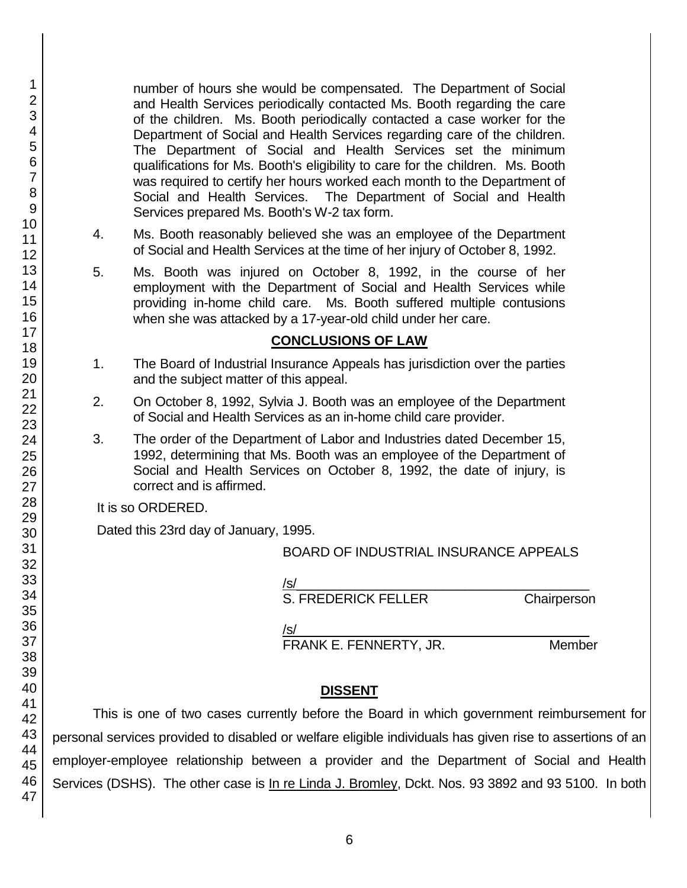number of hours she would be compensated. The Department of Social and Health Services periodically contacted Ms. Booth regarding the care of the children. Ms. Booth periodically contacted a case worker for the Department of Social and Health Services regarding care of the children. The Department of Social and Health Services set the minimum qualifications for Ms. Booth's eligibility to care for the children. Ms. Booth was required to certify her hours worked each month to the Department of Social and Health Services. The Department of Social and Health Services prepared Ms. Booth's W-2 tax form.

- 4. Ms. Booth reasonably believed she was an employee of the Department of Social and Health Services at the time of her injury of October 8, 1992.
- 5. Ms. Booth was injured on October 8, 1992, in the course of her employment with the Department of Social and Health Services while providing in-home child care. Ms. Booth suffered multiple contusions when she was attacked by a 17-year-old child under her care.

# **CONCLUSIONS OF LAW**

- 1. The Board of Industrial Insurance Appeals has jurisdiction over the parties and the subject matter of this appeal.
- 2. On October 8, 1992, Sylvia J. Booth was an employee of the Department of Social and Health Services as an in-home child care provider.
- 3. The order of the Department of Labor and Industries dated December 15, 1992, determining that Ms. Booth was an employee of the Department of Social and Health Services on October 8, 1992, the date of injury, is correct and is affirmed.

It is so ORDERED.

Dated this 23rd day of January, 1995.

## BOARD OF INDUSTRIAL INSURANCE APPEALS

/s/  $\,$ 

S. FREDERICK FELLER Chairperson

/s/  $\,$ 

FRANK E. FENNERTY, JR. Member

# **DISSENT**

This is one of two cases currently before the Board in which government reimbursement for personal services provided to disabled or welfare eligible individuals has given rise to assertions of an employer-employee relationship between a provider and the Department of Social and Health Services (DSHS). The other case is In re Linda J. Bromley, Dckt. Nos. 93 3892 and 93 5100. In both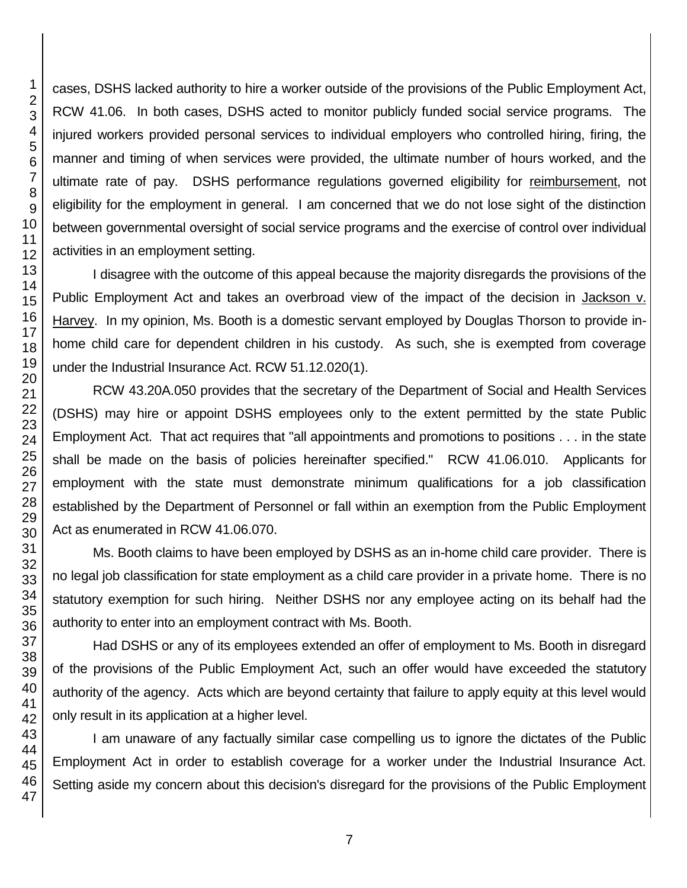cases, DSHS lacked authority to hire a worker outside of the provisions of the Public Employment Act, RCW 41.06. In both cases, DSHS acted to monitor publicly funded social service programs. The injured workers provided personal services to individual employers who controlled hiring, firing, the manner and timing of when services were provided, the ultimate number of hours worked, and the ultimate rate of pay. DSHS performance regulations governed eligibility for reimbursement, not eligibility for the employment in general. I am concerned that we do not lose sight of the distinction between governmental oversight of social service programs and the exercise of control over individual activities in an employment setting.

I disagree with the outcome of this appeal because the majority disregards the provisions of the Public Employment Act and takes an overbroad view of the impact of the decision in Jackson v. Harvey. In my opinion, Ms. Booth is a domestic servant employed by Douglas Thorson to provide inhome child care for dependent children in his custody. As such, she is exempted from coverage under the Industrial Insurance Act. RCW 51.12.020(1).

RCW 43.20A.050 provides that the secretary of the Department of Social and Health Services (DSHS) may hire or appoint DSHS employees only to the extent permitted by the state Public Employment Act. That act requires that "all appointments and promotions to positions . . . in the state shall be made on the basis of policies hereinafter specified." RCW 41.06.010. Applicants for employment with the state must demonstrate minimum qualifications for a job classification established by the Department of Personnel or fall within an exemption from the Public Employment Act as enumerated in RCW 41.06.070.

Ms. Booth claims to have been employed by DSHS as an in-home child care provider. There is no legal job classification for state employment as a child care provider in a private home. There is no statutory exemption for such hiring. Neither DSHS nor any employee acting on its behalf had the authority to enter into an employment contract with Ms. Booth.

Had DSHS or any of its employees extended an offer of employment to Ms. Booth in disregard of the provisions of the Public Employment Act, such an offer would have exceeded the statutory authority of the agency. Acts which are beyond certainty that failure to apply equity at this level would only result in its application at a higher level.

I am unaware of any factually similar case compelling us to ignore the dictates of the Public Employment Act in order to establish coverage for a worker under the Industrial Insurance Act. Setting aside my concern about this decision's disregard for the provisions of the Public Employment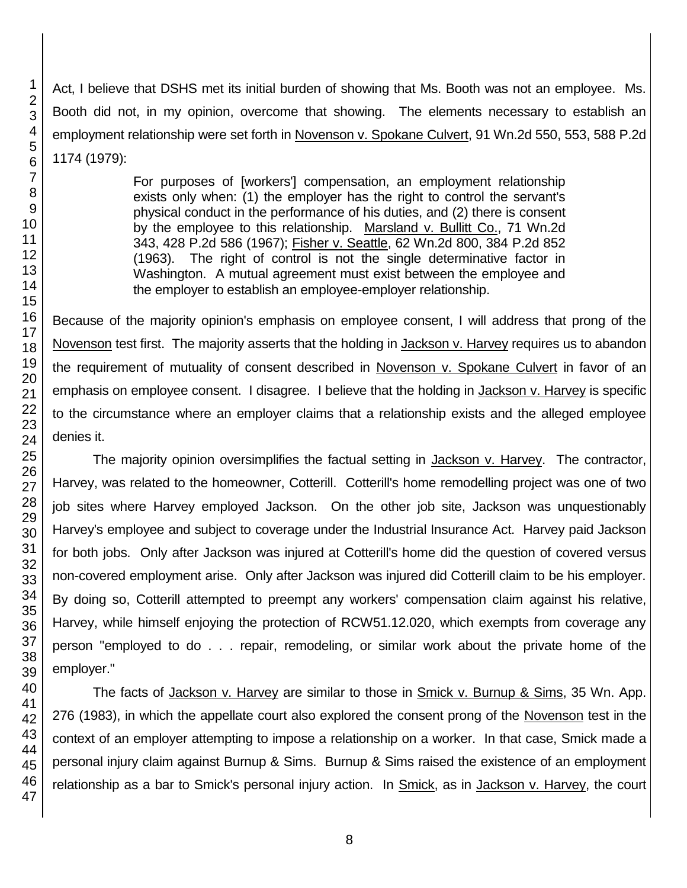Act, I believe that DSHS met its initial burden of showing that Ms. Booth was not an employee. Ms. Booth did not, in my opinion, overcome that showing. The elements necessary to establish an employment relationship were set forth in Novenson v. Spokane Culvert, 91 Wn.2d 550, 553, 588 P.2d 1174 (1979):

> For purposes of [workers'] compensation, an employment relationship exists only when: (1) the employer has the right to control the servant's physical conduct in the performance of his duties, and (2) there is consent by the employee to this relationship. Marsland v. Bullitt Co., 71 Wn.2d 343, 428 P.2d 586 (1967); Fisher v. Seattle, 62 Wn.2d 800, 384 P.2d 852 (1963). The right of control is not the single determinative factor in Washington. A mutual agreement must exist between the employee and the employer to establish an employee-employer relationship.

Because of the majority opinion's emphasis on employee consent, I will address that prong of the Novenson test first. The majority asserts that the holding in Jackson v. Harvey requires us to abandon the requirement of mutuality of consent described in Novenson v. Spokane Culvert in favor of an emphasis on employee consent. I disagree. I believe that the holding in Jackson v. Harvey is specific to the circumstance where an employer claims that a relationship exists and the alleged employee denies it.

The majority opinion oversimplifies the factual setting in Jackson v. Harvey. The contractor, Harvey, was related to the homeowner, Cotterill. Cotterill's home remodelling project was one of two job sites where Harvey employed Jackson. On the other job site, Jackson was unquestionably Harvey's employee and subject to coverage under the Industrial Insurance Act. Harvey paid Jackson for both jobs. Only after Jackson was injured at Cotterill's home did the question of covered versus non-covered employment arise. Only after Jackson was injured did Cotterill claim to be his employer. By doing so, Cotterill attempted to preempt any workers' compensation claim against his relative, Harvey, while himself enjoying the protection of RCW51.12.020, which exempts from coverage any person "employed to do . . . repair, remodeling, or similar work about the private home of the employer."

The facts of Jackson v. Harvey are similar to those in Smick v. Burnup & Sims, 35 Wn. App. 276 (1983), in which the appellate court also explored the consent prong of the Novenson test in the context of an employer attempting to impose a relationship on a worker. In that case, Smick made a personal injury claim against Burnup & Sims. Burnup & Sims raised the existence of an employment relationship as a bar to Smick's personal injury action. In Smick, as in Jackson v. Harvey, the court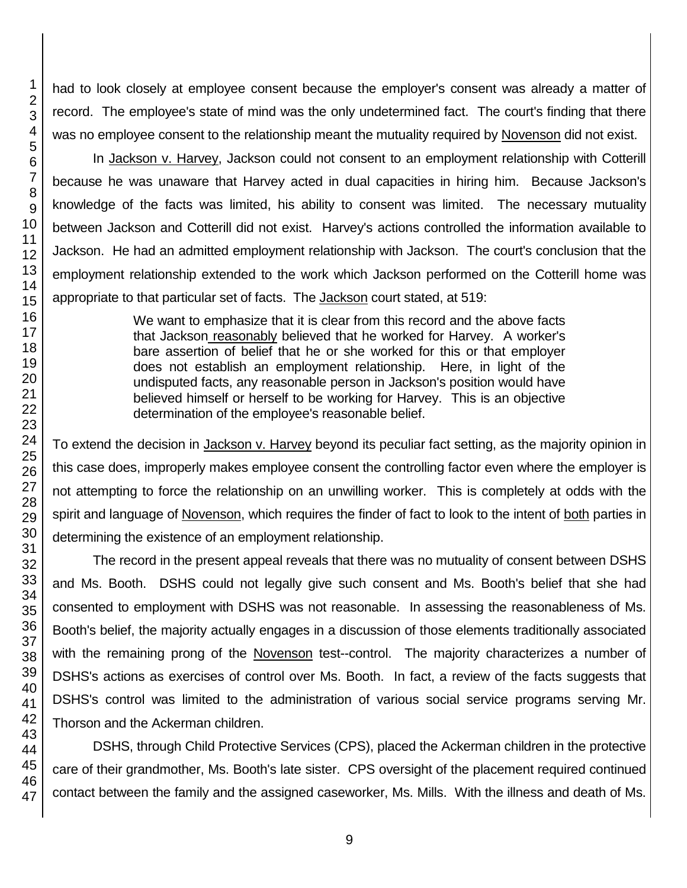had to look closely at employee consent because the employer's consent was already a matter of record. The employee's state of mind was the only undetermined fact. The court's finding that there was no employee consent to the relationship meant the mutuality required by Novenson did not exist.

In Jackson v. Harvey, Jackson could not consent to an employment relationship with Cotterill because he was unaware that Harvey acted in dual capacities in hiring him. Because Jackson's knowledge of the facts was limited, his ability to consent was limited. The necessary mutuality between Jackson and Cotterill did not exist. Harvey's actions controlled the information available to Jackson. He had an admitted employment relationship with Jackson. The court's conclusion that the employment relationship extended to the work which Jackson performed on the Cotterill home was appropriate to that particular set of facts. The Jackson court stated, at 519:

> We want to emphasize that it is clear from this record and the above facts that Jackson reasonably believed that he worked for Harvey. A worker's bare assertion of belief that he or she worked for this or that employer does not establish an employment relationship. Here, in light of the undisputed facts, any reasonable person in Jackson's position would have believed himself or herself to be working for Harvey. This is an objective determination of the employee's reasonable belief.

To extend the decision in Jackson v. Harvey beyond its peculiar fact setting, as the majority opinion in this case does, improperly makes employee consent the controlling factor even where the employer is not attempting to force the relationship on an unwilling worker. This is completely at odds with the spirit and language of Novenson, which requires the finder of fact to look to the intent of both parties in determining the existence of an employment relationship.

The record in the present appeal reveals that there was no mutuality of consent between DSHS and Ms. Booth. DSHS could not legally give such consent and Ms. Booth's belief that she had consented to employment with DSHS was not reasonable. In assessing the reasonableness of Ms. Booth's belief, the majority actually engages in a discussion of those elements traditionally associated with the remaining prong of the Novenson test--control. The majority characterizes a number of DSHS's actions as exercises of control over Ms. Booth. In fact, a review of the facts suggests that DSHS's control was limited to the administration of various social service programs serving Mr. Thorson and the Ackerman children.

DSHS, through Child Protective Services (CPS), placed the Ackerman children in the protective care of their grandmother, Ms. Booth's late sister. CPS oversight of the placement required continued contact between the family and the assigned caseworker, Ms. Mills. With the illness and death of Ms.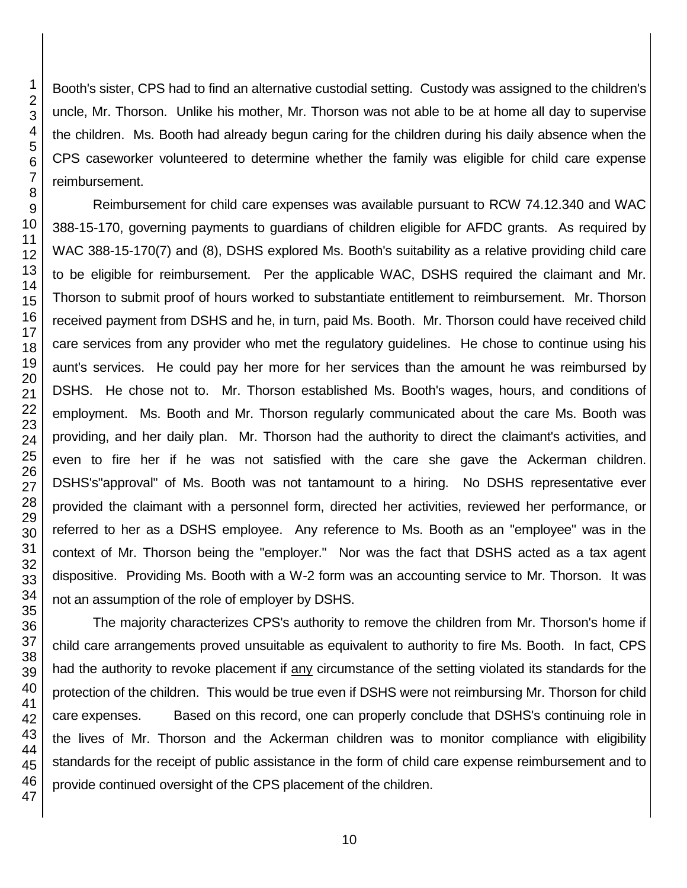Booth's sister, CPS had to find an alternative custodial setting. Custody was assigned to the children's uncle, Mr. Thorson. Unlike his mother, Mr. Thorson was not able to be at home all day to supervise the children. Ms. Booth had already begun caring for the children during his daily absence when the CPS caseworker volunteered to determine whether the family was eligible for child care expense reimbursement.

Reimbursement for child care expenses was available pursuant to RCW 74.12.340 and WAC 388-15-170, governing payments to guardians of children eligible for AFDC grants. As required by WAC 388-15-170(7) and (8), DSHS explored Ms. Booth's suitability as a relative providing child care to be eligible for reimbursement. Per the applicable WAC, DSHS required the claimant and Mr. Thorson to submit proof of hours worked to substantiate entitlement to reimbursement. Mr. Thorson received payment from DSHS and he, in turn, paid Ms. Booth. Mr. Thorson could have received child care services from any provider who met the regulatory guidelines. He chose to continue using his aunt's services. He could pay her more for her services than the amount he was reimbursed by DSHS. He chose not to. Mr. Thorson established Ms. Booth's wages, hours, and conditions of employment. Ms. Booth and Mr. Thorson regularly communicated about the care Ms. Booth was providing, and her daily plan. Mr. Thorson had the authority to direct the claimant's activities, and even to fire her if he was not satisfied with the care she gave the Ackerman children. DSHS's"approval" of Ms. Booth was not tantamount to a hiring. No DSHS representative ever provided the claimant with a personnel form, directed her activities, reviewed her performance, or referred to her as a DSHS employee. Any reference to Ms. Booth as an "employee" was in the context of Mr. Thorson being the "employer." Nor was the fact that DSHS acted as a tax agent dispositive. Providing Ms. Booth with a W-2 form was an accounting service to Mr. Thorson. It was not an assumption of the role of employer by DSHS.

The majority characterizes CPS's authority to remove the children from Mr. Thorson's home if child care arrangements proved unsuitable as equivalent to authority to fire Ms. Booth. In fact, CPS had the authority to revoke placement if any circumstance of the setting violated its standards for the protection of the children. This would be true even if DSHS were not reimbursing Mr. Thorson for child care expenses. Based on this record, one can properly conclude that DSHS's continuing role in the lives of Mr. Thorson and the Ackerman children was to monitor compliance with eligibility standards for the receipt of public assistance in the form of child care expense reimbursement and to provide continued oversight of the CPS placement of the children.